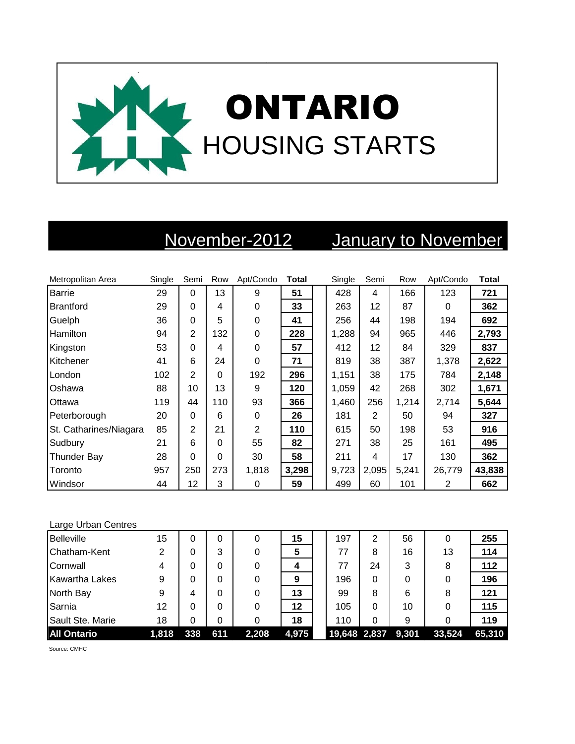

# November-2012 January to November

| Metropolitan Area      | Single | Semi           | Row      | Apt/Condo | <b>Total</b> | Single | Semi  | Row   | Apt/Condo | <b>Total</b> |
|------------------------|--------|----------------|----------|-----------|--------------|--------|-------|-------|-----------|--------------|
| <b>Barrie</b>          | 29     | $\Omega$       | 13       | 9         | 51           | 428    | 4     | 166   | 123       | 721          |
| Brantford              | 29     | 0              | 4        | 0         | 33           | 263    | 12    | 87    | 0         | 362          |
| Guelph                 | 36     | $\Omega$       | 5        | 0         | 41           | 256    | 44    | 198   | 194       | 692          |
| Hamilton               | 94     | $\overline{2}$ | 132      | 0         | 228          | 1,288  | 94    | 965   | 446       | 2,793        |
| Kingston               | 53     | $\Omega$       | 4        | 0         | 57           | 412    | 12    | 84    | 329       | 837          |
| Kitchener              | 41     | 6              | 24       | $\Omega$  | 71           | 819    | 38    | 387   | 1,378     | 2,622        |
| London                 | 102    | $\overline{2}$ | $\Omega$ | 192       | 296          | 1,151  | 38    | 175   | 784       | 2,148        |
| Oshawa                 | 88     | 10             | 13       | 9         | 120          | 1,059  | 42    | 268   | 302       | 1,671        |
| Ottawa                 | 119    | 44             | 110      | 93        | 366          | 1,460  | 256   | 1,214 | 2,714     | 5,644        |
| Peterborough           | 20     | $\Omega$       | 6        | 0         | 26           | 181    | 2     | 50    | 94        | 327          |
| St. Catharines/Niagara | 85     | $\overline{2}$ | 21       | 2         | 110          | 615    | 50    | 198   | 53        | 916          |
| Sudbury                | 21     | 6              | $\Omega$ | 55        | 82           | 271    | 38    | 25    | 161       | 495          |
| <b>Thunder Bay</b>     | 28     | 0              | 0        | 30        | 58           | 211    | 4     | 17    | 130       | 362          |
| Toronto                | 957    | 250            | 273      | 1,818     | 3,298        | 9,723  | 2,095 | 5,241 | 26,779    | 43,838       |
| Windsor                | 44     | 12             | 3        | 0         | 59           | 499    | 60    | 101   | 2         | 662          |

### Large Urban Centres

| <b>Belleville</b>     | 15    | 0   | 0   | 0     | 15    | 197          | ົ  | 56    |        | 255    |
|-----------------------|-------|-----|-----|-------|-------|--------------|----|-------|--------|--------|
| Chatham-Kent          | 2     | 0   | 3   |       | 5     | 77           | 8  | 16    | 13     | 114    |
| Cornwall              | 4     | 0   | 0   |       | 4     | 77           | 24 | 3     |        | 112    |
| <b>Kawartha Lakes</b> | 9     | 0   | 0   |       | 9     | 196          | 0  | 0     |        | 196    |
| North Bay             | 9     | 4   | 0   |       | 13    | 99           | 8  | 6     | 8      | 121    |
| Sarnia                | 12    | 0   | 0   |       | 12    | 105          | 0  | 10    |        | 115    |
| Sault Ste. Marie      | 18    | 0   | 0   |       | 18    | 110          | 0  | 9     |        | 119    |
| <b>All Ontario</b>    | 1,818 | 338 | 611 | 2,208 | 4,975 | 19,648 2,837 |    | 9,301 | 33,524 | 65,310 |

Source: CMHC